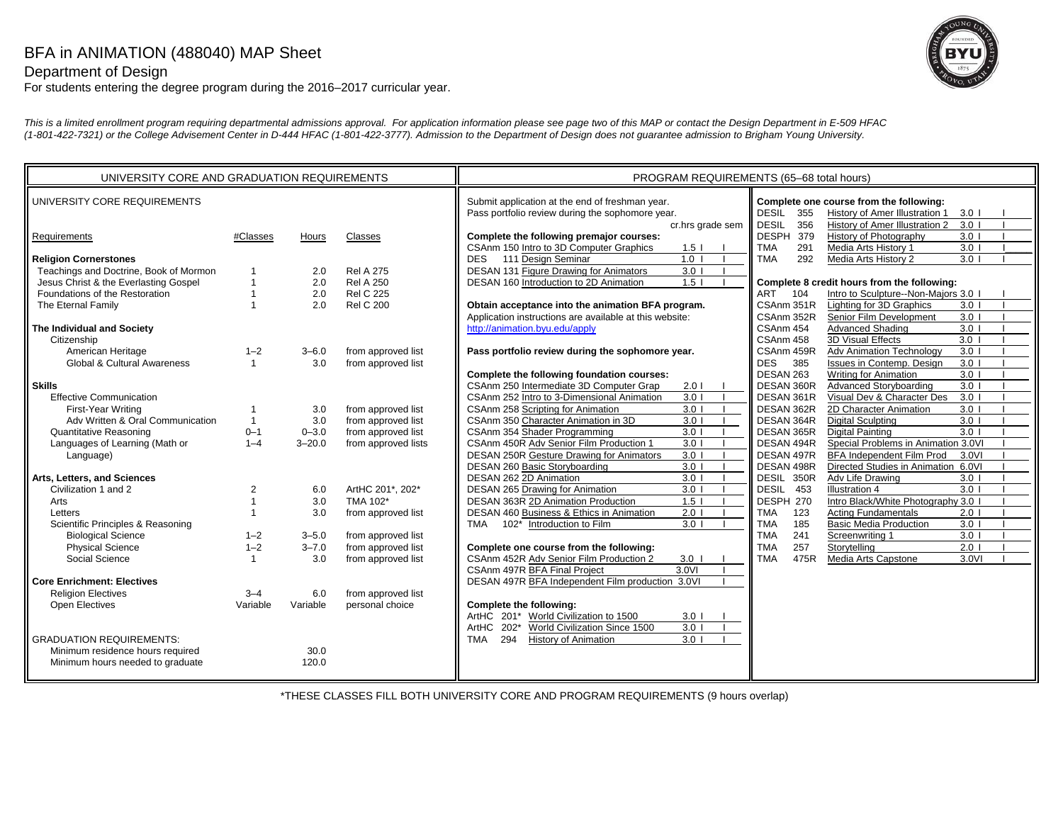## BFA in ANIMATION (488040) MAP Sheet

Department of Design

For students entering the degree program during the 2016–2017 curricular year.

*This is a limited enrollment program requiring departmental admissions approval. For application information please see page two of this MAP or contact the Design Department in E-509 HFAC (1-801-422-7321) or the College Advisement Center in D-444 HFAC (1-801-422-3777). Admission to the Department of Design does not guarantee admission to Brigham Young University.*

| UNIVERSITY CORE AND GRADUATION REQUIREMENTS                                                                                                                                                                                                                                                                                                                                                                                                                                                                                                         |                                                                                                                                        |                                                                                                            |                                                                                                                                                                                                                                                                         | PROGRAM REQUIREMENTS (65-68 total hours)                                                                                                                                                                                                                                                                                                                                                                                                                                                                                                                                                                                                                                                                                                                                                                                                                                                                                                                                                                             |                                                                                                                                                                                                                                                                                                                                                                                                                                                                                                                                                                                                                                                                                                                                                                                                                                                                                                                                                                                                                                                                                                                                                    |
|-----------------------------------------------------------------------------------------------------------------------------------------------------------------------------------------------------------------------------------------------------------------------------------------------------------------------------------------------------------------------------------------------------------------------------------------------------------------------------------------------------------------------------------------------------|----------------------------------------------------------------------------------------------------------------------------------------|------------------------------------------------------------------------------------------------------------|-------------------------------------------------------------------------------------------------------------------------------------------------------------------------------------------------------------------------------------------------------------------------|----------------------------------------------------------------------------------------------------------------------------------------------------------------------------------------------------------------------------------------------------------------------------------------------------------------------------------------------------------------------------------------------------------------------------------------------------------------------------------------------------------------------------------------------------------------------------------------------------------------------------------------------------------------------------------------------------------------------------------------------------------------------------------------------------------------------------------------------------------------------------------------------------------------------------------------------------------------------------------------------------------------------|----------------------------------------------------------------------------------------------------------------------------------------------------------------------------------------------------------------------------------------------------------------------------------------------------------------------------------------------------------------------------------------------------------------------------------------------------------------------------------------------------------------------------------------------------------------------------------------------------------------------------------------------------------------------------------------------------------------------------------------------------------------------------------------------------------------------------------------------------------------------------------------------------------------------------------------------------------------------------------------------------------------------------------------------------------------------------------------------------------------------------------------------------|
| UNIVERSITY CORE REQUIREMENTS                                                                                                                                                                                                                                                                                                                                                                                                                                                                                                                        |                                                                                                                                        |                                                                                                            |                                                                                                                                                                                                                                                                         | Submit application at the end of freshman year.<br>Pass portfolio review during the sophomore year.                                                                                                                                                                                                                                                                                                                                                                                                                                                                                                                                                                                                                                                                                                                                                                                                                                                                                                                  | Complete one course from the following:<br><b>DESIL</b><br>355<br>History of Amer Illustration 1<br>3.0 <sub>1</sub><br>History of Amer Illustration 2<br>356                                                                                                                                                                                                                                                                                                                                                                                                                                                                                                                                                                                                                                                                                                                                                                                                                                                                                                                                                                                      |
| Requirements                                                                                                                                                                                                                                                                                                                                                                                                                                                                                                                                        | #Classes                                                                                                                               | Hours                                                                                                      | Classes                                                                                                                                                                                                                                                                 | cr.hrs grade sem<br>Complete the following premajor courses:<br>CSAnm 150 Intro to 3D Computer Graphics<br>1.5 <sub>1</sub>                                                                                                                                                                                                                                                                                                                                                                                                                                                                                                                                                                                                                                                                                                                                                                                                                                                                                          | <b>DESIL</b><br>3.0<br>DESPH 379<br>History of Photography<br>$3.0$  <br><b>TMA</b><br>291<br>Media Arts History 1<br>3.0                                                                                                                                                                                                                                                                                                                                                                                                                                                                                                                                                                                                                                                                                                                                                                                                                                                                                                                                                                                                                          |
| <b>Religion Cornerstones</b><br>Teachings and Doctrine, Book of Mormon<br>Jesus Christ & the Everlasting Gospel<br>Foundations of the Restoration<br>The Eternal Family<br>The Individual and Society<br>Citizenship<br>American Heritage<br><b>Global &amp; Cultural Awareness</b><br><b>Skills</b><br><b>Effective Communication</b><br>First-Year Writing<br>Adv Written & Oral Communication<br>Quantitative Reasoning<br>Languages of Learning (Math or<br>Language)<br>Arts, Letters, and Sciences<br>Civilization 1 and 2<br>Arts<br>Letters | $\mathbf{1}$<br>$\mathbf{1}$<br>$\overline{1}$<br>$1 - 2$<br>$\mathbf{1}$<br>$\mathbf{1}$<br>$0 - 1$<br>$1 - 4$<br>2<br>$\overline{1}$ | 2.0<br>2.0<br>2.0<br>2.0<br>$3 - 6.0$<br>3.0<br>3.0<br>3.0<br>$0 - 3.0$<br>$3 - 20.0$<br>6.0<br>3.0<br>3.0 | <b>Rel A 275</b><br><b>Rel A 250</b><br><b>Rel C 225</b><br><b>Rel C 200</b><br>from approved list<br>from approved list<br>from approved list<br>from approved list<br>from approved list<br>from approved lists<br>ArtHC 201*, 202*<br>TMA 102*<br>from approved list | 111 Design Seminar<br>1.0<br><b>DES</b><br>DESAN 131 Figure Drawing for Animators<br>3.0 <sub>1</sub><br>1.5<br>DESAN 160 Introduction to 2D Animation<br>Obtain acceptance into the animation BFA program.<br>Application instructions are available at this website:<br>http://animation.byu.edu/apply<br>Pass portfolio review during the sophomore year.<br>Complete the following foundation courses:<br>CSAnm 250 Intermediate 3D Computer Grap<br>2.01<br>CSAnm 252 Intro to 3-Dimensional Animation<br>3.01<br>3.0 <sub>1</sub><br>CSAnm 258 Scripting for Animation<br>CSAnm 350 Character Animation in 3D<br>3.0<br>CSAnm 354 Shader Programming<br>3.0<br>CSAnm 450R Adv Senior Film Production 1<br>3.0 <sub>1</sub><br><b>DESAN 250R Gesture Drawing for Animators</b><br>3.0<br>3.0<br>DESAN 260 Basic Storyboarding<br>3.0<br>DESAN 262 2D Animation<br>DESAN 265 Drawing for Animation<br>3.0<br><b>DESAN 363R 2D Animation Production</b><br>1.5<br>DESAN 460 Business & Ethics in Animation<br>2.0 | 3.0<br><b>TMA</b><br>292<br>Media Arts History 2<br>Complete 8 credit hours from the following:<br>Intro to Sculpture--Non-Majors 3.0 I<br>ART<br>104<br>Lighting for 3D Graphics<br>CSAnm 351R<br>$3.0$ $\vert$<br>CSAnm 352R<br>Senior Film Development<br>3.0<br>Advanced Shading<br>3.0<br>CSAnm 454<br>3D Visual Effects<br>CSAnm 458<br>3.0<br>CSAnm 459R<br>3.0<br><b>Adv Animation Technology</b><br>385<br>Issues in Contemp. Design<br>3.0<br><b>DES</b><br><b>Writing for Animation</b><br>3.0<br>DESAN 263<br>3.0<br>DESAN 360R<br>Advanced Storyboarding<br>Visual Dev & Character Des<br>3.0<br>DESAN 361R<br>DESAN 362R<br>2D Character Animation<br>$3.0$  <br><b>Digital Sculpting</b><br>3.0<br>DESAN 364R<br>Digital Painting<br>$\overline{3.0}$<br>DESAN 365R<br>DESAN 494R<br>Special Problems in Animation 3.0VI<br>DESAN 497R<br>BFA Independent Film Prod<br>3.0VI<br>Directed Studies in Animation 6.0VI<br>DESAN 498R<br>Adv Life Drawing<br>DESIL 350R<br>3.0<br>DESIL 453<br>3.0<br><b>Illustration 4</b><br>Intro Black/White Photography 3.0<br>DESPH 270<br><b>Acting Fundamentals</b><br><b>TMA</b><br>123<br>2.0 |
| Scientific Principles & Reasoning<br><b>Biological Science</b><br><b>Physical Science</b><br>Social Science<br><b>Core Enrichment: Electives</b><br><b>Religion Electives</b><br>Open Electives<br><b>GRADUATION REQUIREMENTS:</b><br>Minimum residence hours required<br>Minimum hours needed to graduate                                                                                                                                                                                                                                          | $1 - 2$<br>$1 - 2$<br>$\mathbf{1}$<br>$3 - 4$<br>Variable                                                                              | $3 - 5.0$<br>$3 - 7.0$<br>3.0<br>6.0<br>Variable<br>30.0<br>120.0                                          | from approved list<br>from approved list<br>from approved list<br>from approved list<br>personal choice                                                                                                                                                                 | 3.0<br>TMA<br>102* Introduction to Film<br>Complete one course from the following:<br>CSAnm 452R Adv Senior Film Production 2<br>$3.0$ $\blacksquare$<br>CSAnm 497R BFA Final Project<br>3.0VI<br>DESAN 497R BFA Independent Film production 3.0VI<br>Complete the following:<br>ArtHC 201* World Civilization to 1500<br>$3.0$ $\vert$<br>World Civilization Since 1500<br>3.0<br>ArtHC<br>$202*$<br><b>TMA</b><br>294<br><b>History of Animation</b><br>3.0                                                                                                                                                                                                                                                                                                                                                                                                                                                                                                                                                        | 185<br><b>TMA</b><br><b>Basic Media Production</b><br>3.0<br>241<br><b>TMA</b><br>3.0<br>Screenwriting 1<br>257<br><b>TMA</b><br>Storytelling<br>2.0<br>475R<br><b>TMA</b><br>Media Arts Capstone<br>3.0VI                                                                                                                                                                                                                                                                                                                                                                                                                                                                                                                                                                                                                                                                                                                                                                                                                                                                                                                                         |

\*THESE CLASSES FILL BOTH UNIVERSITY CORE AND PROGRAM REQUIREMENTS (9 hours overlap)